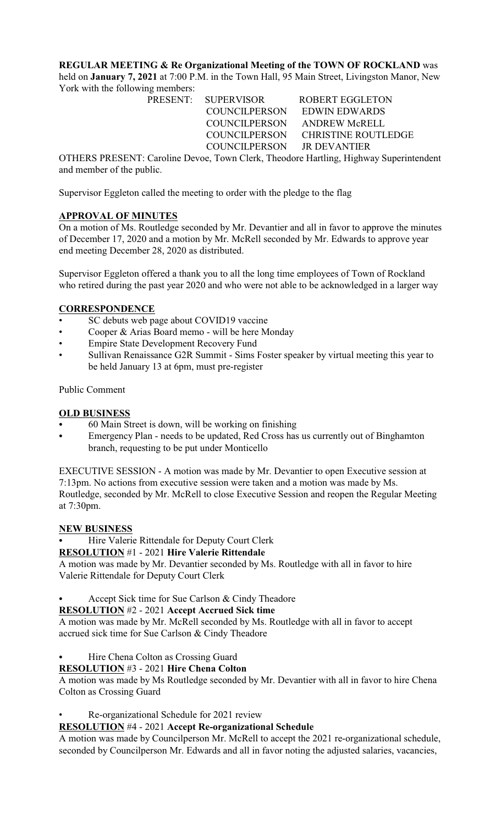**REGULAR MEETING & Re Organizational Meeting of the TOWN OF ROCKLAND** was held on **January 7, 2021** at 7:00 P.M. in the Town Hall, 95 Main Street, Livingston Manor, New

York with the following members:

PRESENT: SUPERVISOR ROBERT EGGLETON COUNCILPERSON EDWIN EDWARDS COUNCILPERSON ANDREW McRELL COUNCILPERSON CHRISTINE ROUTLEDGE COUNCILPERSON JR DEVANTIER

OTHERS PRESENT: Caroline Devoe, Town Clerk, Theodore Hartling, Highway Superintendent and member of the public.

Supervisor Eggleton called the meeting to order with the pledge to the flag

# **APPROVAL OF MINUTES**

On a motion of Ms. Routledge seconded by Mr. Devantier and all in favor to approve the minutes of December 17, 2020 and a motion by Mr. McRell seconded by Mr. Edwards to approve year end meeting December 28, 2020 as distributed.

Supervisor Eggleton offered a thank you to all the long time employees of Town of Rockland who retired during the past year 2020 and who were not able to be acknowledged in a larger way

# **CORRESPONDENCE**

- SC debuts web page about COVID19 vaccine
- Cooper & Arias Board memo will be here Monday
- Empire State Development Recovery Fund
- Sullivan Renaissance G2R Summit Sims Foster speaker by virtual meeting this year to be held January 13 at 6pm, must pre-register

Public Comment

# **OLD BUSINESS**

- 60 Main Street is down, will be working on finishing
- Emergency Plan needs to be updated, Red Cross has us currently out of Binghamton branch, requesting to be put under Monticello

EXECUTIVE SESSION - A motion was made by Mr. Devantier to open Executive session at 7:13pm. No actions from executive session were taken and a motion was made by Ms. Routledge, seconded by Mr. McRell to close Executive Session and reopen the Regular Meeting at 7:30pm.

# **NEW BUSINESS**

Hire Valerie Rittendale for Deputy Court Clerk

# **RESOLUTION** #1 - 2021 **Hire Valerie Rittendale**

A motion was made by Mr. Devantier seconded by Ms. Routledge with all in favor to hire Valerie Rittendale for Deputy Court Clerk

Accept Sick time for Sue Carlson & Cindy Theadore

# **RESOLUTION** #2 - 2021 **Accept Accrued Sick time**

A motion was made by Mr. McRell seconded by Ms. Routledge with all in favor to accept accrued sick time for Sue Carlson & Cindy Theadore

Hire Chena Colton as Crossing Guard

# **RESOLUTION** #3 - 2021 **Hire Chena Colton**

A motion was made by Ms Routledge seconded by Mr. Devantier with all in favor to hire Chena Colton as Crossing Guard

• Re-organizational Schedule for 2021 review

# **RESOLUTION** #4 - 2021 **Accept Re-organizational Schedule**

A motion was made by Councilperson Mr. McRell to accept the 2021 re-organizational schedule, seconded by Councilperson Mr. Edwards and all in favor noting the adjusted salaries, vacancies,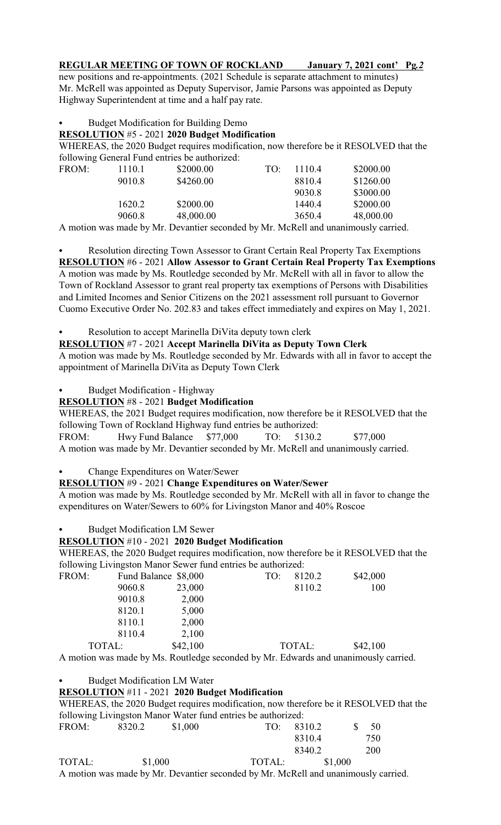# **REGULAR MEETING OF TOWN OF ROCKLAND January 7, 2021 cont' Pg***.2*

new positions and re-appointments. (2021 Schedule is separate attachment to minutes) Mr. McRell was appointed as Deputy Supervisor, Jamie Parsons was appointed as Deputy Highway Superintendent at time and a half pay rate.

### Budget Modification for Building Demo

#### **RESOLUTION** #5 - 2021 **2020 Budget Modification**

WHEREAS, the 2020 Budget requires modification, now therefore be it RESOLVED that the following General Fund entries be authorized:

| FROM: | 1110.1 | \$2000.00 | TO:                | 1110.4 | \$2000.00 |
|-------|--------|-----------|--------------------|--------|-----------|
|       | 9010.8 | \$4260.00 |                    | 8810.4 | \$1260.00 |
|       |        |           |                    | 9030.8 | \$3000.00 |
|       | 1620.2 | \$2000.00 |                    | 1440.4 | \$2000.00 |
|       | 9060.8 | 48,000.00 |                    | 3650.4 | 48,000.00 |
|       |        |           | $1 \t11 \tN1 \tN1$ |        |           |

A motion was made by Mr. Devantier seconded by Mr. McRell and unanimously carried.

Resolution directing Town Assessor to Grant Certain Real Property Tax Exemptions **RESOLUTION** #6 - 2021 **Allow Assessor to Grant Certain Real Property Tax Exemptions** A motion was made by Ms. Routledge seconded by Mr. McRell with all in favor to allow the Town of Rockland Assessor to grant real property tax exemptions of Persons with Disabilities and Limited Incomes and Senior Citizens on the 2021 assessment roll pursuant to Governor Cuomo Executive Order No. 202.83 and takes effect immediately and expires on May 1, 2021.

#### Resolution to accept Marinella DiVita deputy town clerk

### **RESOLUTION** #7 - 2021 **Accept Marinella DiVita as Deputy Town Clerk**

A motion was made by Ms. Routledge seconded by Mr. Edwards with all in favor to accept the appointment of Marinella DiVita as Deputy Town Clerk

Budget Modification - Highway

### **RESOLUTION** #8 - 2021 **Budget Modification**

WHEREAS, the 2021 Budget requires modification, now therefore be it RESOLVED that the following Town of Rockland Highway fund entries be authorized:

FROM: Hwy Fund Balance \$77,000 TO: 5130.2 \$77,000 A motion was made by Mr. Devantier seconded by Mr. McRell and unanimously carried.

Change Expenditures on Water/Sewer

# **RESOLUTION** #9 - 2021 **Change Expenditures on Water/Sewer**

A motion was made by Ms. Routledge seconded by Mr. McRell with all in favor to change the expenditures on Water/Sewers to 60% for Livingston Manor and 40% Roscoe

Budget Modification LM Sewer

#### **RESOLUTION** #10 - 2021 **2020 Budget Modification**

WHEREAS, the 2020 Budget requires modification, now therefore be it RESOLVED that the following Livingston Manor Sewer fund entries be authorized:

| FROM:  | Fund Balance \$8,000 |          | TO: | 8120.2 | \$42,000 |
|--------|----------------------|----------|-----|--------|----------|
|        | 9060.8               | 23,000   |     | 8110.2 | 100      |
|        | 9010.8               | 2,000    |     |        |          |
|        | 8120.1               | 5,000    |     |        |          |
|        | 8110.1               | 2,000    |     |        |          |
|        | 8110.4               | 2,100    |     |        |          |
| TOTAL: |                      | \$42,100 |     | TOTAL: | \$42,100 |

A motion was made by Ms. Routledge seconded by Mr. Edwards and unanimously carried.

Budget Modification LM Water

# **RESOLUTION** #11 - 2021 **2020 Budget Modification**

WHEREAS, the 2020 Budget requires modification, now therefore be it RESOLVED that the following Livingston Manor Water fund entries be authorized: FROM: 8320.2 \$1,000 TO: 8310.2 \$ 50 8310.4 750

|        |         | 00 I V . I |         | $\sim$ |
|--------|---------|------------|---------|--------|
|        |         | 8340.2     |         | 200    |
| TOTAL: | \$1,000 | TOTAL:     | \$1,000 |        |

A motion was made by Mr. Devantier seconded by Mr. McRell and unanimously carried.